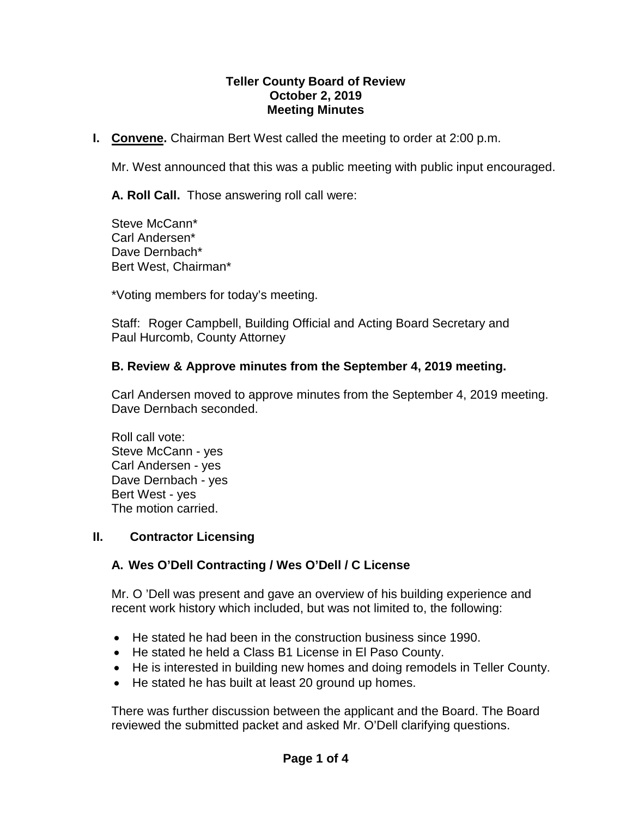### **Teller County Board of Review October 2, 2019 Meeting Minutes**

**I. Convene.** Chairman Bert West called the meeting to order at 2:00 p.m.

Mr. West announced that this was a public meeting with public input encouraged.

**A. Roll Call.** Those answering roll call were:

Steve McCann\* Carl Andersen\* Dave Dernbach\* Bert West, Chairman\*

\*Voting members for today's meeting.

Staff: Roger Campbell, Building Official and Acting Board Secretary and Paul Hurcomb, County Attorney

## **B. Review & Approve minutes from the September 4, 2019 meeting.**

Carl Andersen moved to approve minutes from the September 4, 2019 meeting. Dave Dernbach seconded.

Roll call vote: Steve McCann - yes Carl Andersen - yes Dave Dernbach - yes Bert West - yes The motion carried.

#### **II. Contractor Licensing**

# **A. Wes O'Dell Contracting / Wes O'Dell / C License**

Mr. O 'Dell was present and gave an overview of his building experience and recent work history which included, but was not limited to, the following:

- He stated he had been in the construction business since 1990.
- He stated he held a Class B1 License in El Paso County.
- He is interested in building new homes and doing remodels in Teller County.
- He stated he has built at least 20 ground up homes.

There was further discussion between the applicant and the Board. The Board reviewed the submitted packet and asked Mr. O'Dell clarifying questions.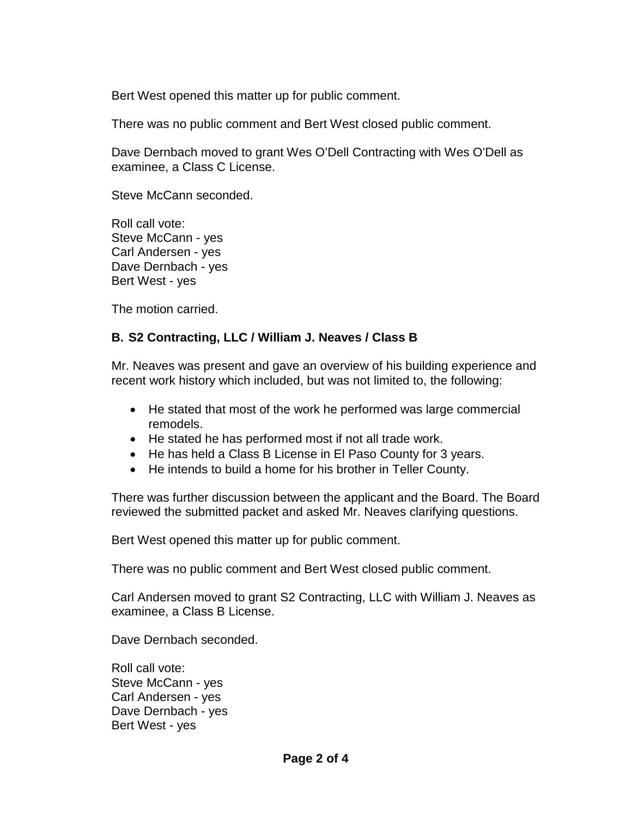Bert West opened this matter up for public comment.

There was no public comment and Bert West closed public comment.

Dave Dernbach moved to grant Wes O'Dell Contracting with Wes O'Dell as examinee, a Class C License.

Steve McCann seconded.

Roll call vote: Steve McCann - yes Carl Andersen - yes Dave Dernbach - yes Bert West - yes

The motion carried.

## **B. S2 Contracting, LLC / William J. Neaves / Class B**

Mr. Neaves was present and gave an overview of his building experience and recent work history which included, but was not limited to, the following:

- He stated that most of the work he performed was large commercial remodels.
- He stated he has performed most if not all trade work.
- He has held a Class B License in El Paso County for 3 years.
- He intends to build a home for his brother in Teller County.

There was further discussion between the applicant and the Board. The Board reviewed the submitted packet and asked Mr. Neaves clarifying questions.

Bert West opened this matter up for public comment.

There was no public comment and Bert West closed public comment.

Carl Andersen moved to grant S2 Contracting, LLC with William J. Neaves as examinee, a Class B License.

Dave Dernbach seconded.

Roll call vote: Steve McCann - yes Carl Andersen - yes Dave Dernbach - yes Bert West - yes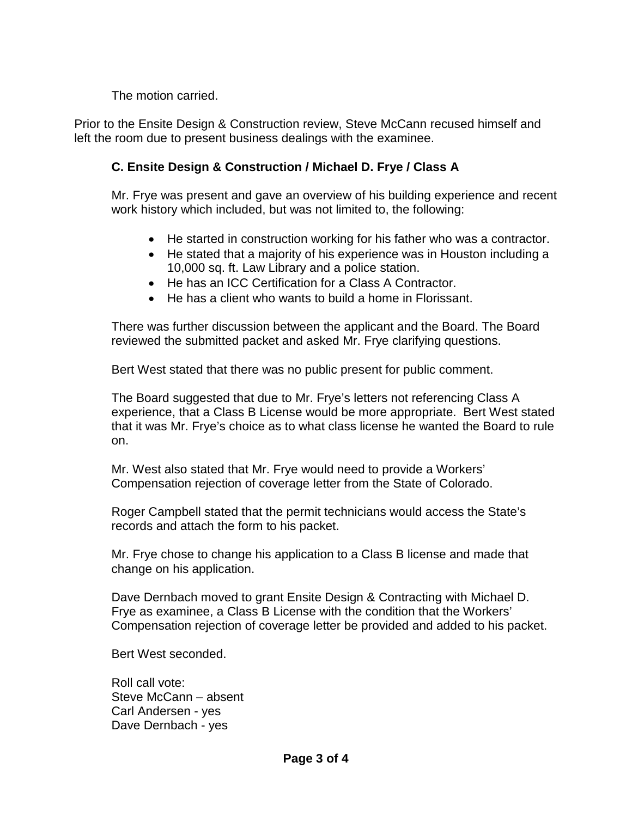The motion carried.

Prior to the Ensite Design & Construction review, Steve McCann recused himself and left the room due to present business dealings with the examinee.

# **C. Ensite Design & Construction / Michael D. Frye / Class A**

Mr. Frye was present and gave an overview of his building experience and recent work history which included, but was not limited to, the following:

- He started in construction working for his father who was a contractor.
- He stated that a majority of his experience was in Houston including a 10,000 sq. ft. Law Library and a police station.
- He has an ICC Certification for a Class A Contractor.
- He has a client who wants to build a home in Florissant.

There was further discussion between the applicant and the Board. The Board reviewed the submitted packet and asked Mr. Frye clarifying questions.

Bert West stated that there was no public present for public comment.

The Board suggested that due to Mr. Frye's letters not referencing Class A experience, that a Class B License would be more appropriate. Bert West stated that it was Mr. Frye's choice as to what class license he wanted the Board to rule on.

Mr. West also stated that Mr. Frye would need to provide a Workers' Compensation rejection of coverage letter from the State of Colorado.

Roger Campbell stated that the permit technicians would access the State's records and attach the form to his packet.

Mr. Frye chose to change his application to a Class B license and made that change on his application.

Dave Dernbach moved to grant Ensite Design & Contracting with Michael D. Frye as examinee, a Class B License with the condition that the Workers' Compensation rejection of coverage letter be provided and added to his packet.

Bert West seconded.

Roll call vote: Steve McCann – absent Carl Andersen - yes Dave Dernbach - yes